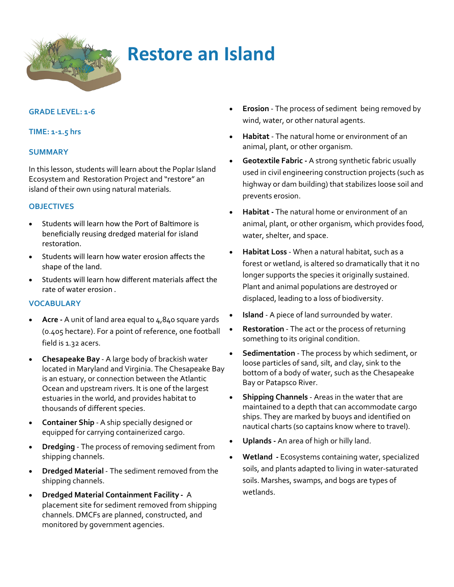

# **Restore an Island**

# **GRADE LEVEL: 1-6**

### **TIME: 1-1.5 hrs**

# **SUMMARY**

In this lesson, students will learn about the Poplar Island Ecosystem and Restoration Project and "restore" an island of their own using natural materials.

# **OBJECTIVES**

- Students will learn how the Port of Baltimore is beneficially reusing dredged material for island restoration.
- Students will learn how water erosion affects the shape of the land.
- Students will learn how different materials affect the rate of water erosion .

# **VOCABULARY**

- **Acre -** A unit of land area equal to 4,840 square yards (0.405 hectare). For a point of reference, one football field is 1.32 acers.
- **Chesapeake Bay**  A large body of brackish water located in Maryland and Virginia. The Chesapeake Bay is an estuary, or connection between the Atlantic Ocean and upstream rivers. It is one of the largest estuaries in the world, and provides habitat to thousands of different species.
- **Container Ship**  A ship specially designed or equipped for carrying containerized cargo.
- **Dredging**  The process of removing sediment from shipping channels.
- **Dredged Material**  The sediment removed from the shipping channels.
- **Dredged Material Containment Facility -** A placement site for sediment removed from shipping channels. DMCFs are planned, constructed, and monitored by government agencies.
- **Erosion**  The process of sediment being removed by wind, water, or other natural agents.
- **Habitat**  The natural home or environment of an animal, plant, or other organism.
- **Geotextile Fabric -** A strong synthetic fabric usually used in civil engineering construction projects (such as highway or dam building) that stabilizes loose soil and prevents erosion.
- **Habitat -** The natural home or environment of an animal, plant, or other organism, which provides food, water, shelter, and space.
- **Habitat Loss** When a natural habitat, such as a forest or wetland, is altered so dramatically that it no longer supports the species it originally sustained. Plant and animal populations are destroyed or displaced, leading to a loss of biodiversity.
- **Island** A piece of land surrounded by water.
- **Restoration**  The act or the process of returning something to its original condition.
- **Sedimentation**  The process by which sediment, or loose particles of sand, silt, and clay, sink to the bottom of a body of water, such as the Chesapeake Bay or Patapsco River.
- **Shipping Channels**  Areas in the water that are maintained to a depth that can accommodate cargo ships. They are marked by buoys and identified on nautical charts (so captains know where to travel).
- **Uplands -** An area of high or hilly land.
- **Wetland -** Ecosystems containing water, specialized soils, and plants adapted to living in water-saturated soils. Marshes, swamps, and bogs are types of wetlands.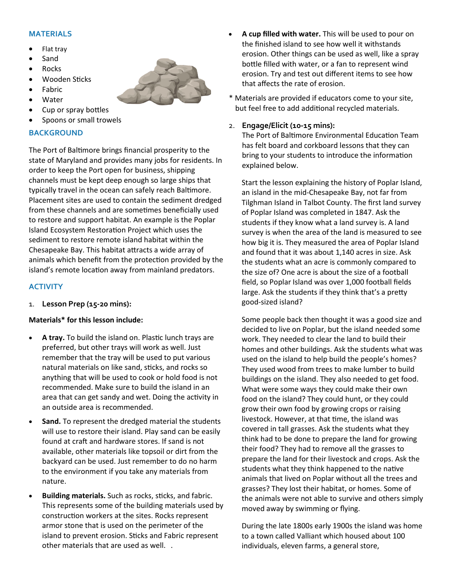#### **MATERIALS**

- Flat tray
- Sand
- Rocks
- Wooden Sticks
- **Fabric**
- Water
- Cup or spray bottles
- Spoons or small trowels

#### **BACKGROUND**

The Port of Baltimore brings financial prosperity to the state of Maryland and provides many jobs for residents. In order to keep the Port open for business, shipping channels must be kept deep enough so large ships that typically travel in the ocean can safely reach Baltimore. Placement sites are used to contain the sediment dredged from these channels and are sometimes beneficially used to restore and support habitat. An example is the Poplar Island Ecosystem Restoration Project which uses the sediment to restore remote island habitat within the Chesapeake Bay. This habitat attracts a wide array of animals which benefit from the protection provided by the island's remote location away from mainland predators.

# **ACTIVITY**

1. **Lesson Prep (15-20 mins):**

#### **Materials\* for this lesson include:**

- **A tray.** To build the island on. Plastic lunch trays are preferred, but other trays will work as well. Just remember that the tray will be used to put various natural materials on like sand, sticks, and rocks so anything that will be used to cook or hold food is not recommended. Make sure to build the island in an area that can get sandy and wet. Doing the activity in an outside area is recommended.
- **Sand.** To represent the dredged material the students will use to restore their island. Play sand can be easily found at craft and hardware stores. If sand is not available, other materials like topsoil or dirt from the backyard can be used. Just remember to do no harm to the environment if you take any materials from nature.
- **Building materials.** Such as rocks, sticks, and fabric. This represents some of the building materials used by construction workers at the sites. Rocks represent armor stone that is used on the perimeter of the island to prevent erosion. Sticks and Fabric represent other materials that are used as well. .
- **A cup filled with water.** This will be used to pour on the finished island to see how well it withstands erosion. Other things can be used as well, like a spray bottle filled with water, or a fan to represent wind erosion. Try and test out different items to see how that affects the rate of erosion.
- \* Materials are provided if educators come to your site, but feel free to add additional recycled materials.

#### 2. **Engage/Elicit (10-15 mins):**

The Port of Baltimore Environmental Education Team has felt board and corkboard lessons that they can bring to your students to introduce the information explained below.

Start the lesson explaining the history of Poplar Island, an island in the mid-Chesapeake Bay, not far from Tilghman Island in Talbot County. The first land survey of Poplar Island was completed in 1847. Ask the students if they know what a land survey is. A land survey is when the area of the land is measured to see how big it is. They measured the area of Poplar Island and found that it was about 1,140 acres in size. Ask the students what an acre is commonly compared to the size of? One acre is about the size of a football field, so Poplar Island was over 1,000 football fields large. Ask the students if they think that's a pretty good-sized island?

Some people back then thought it was a good size and decided to live on Poplar, but the island needed some work. They needed to clear the land to build their homes and other buildings. Ask the students what was used on the island to help build the people's homes? They used wood from trees to make lumber to build buildings on the island. They also needed to get food. What were some ways they could make their own food on the island? They could hunt, or they could grow their own food by growing crops or raising livestock. However, at that time, the island was covered in tall grasses. Ask the students what they think had to be done to prepare the land for growing their food? They had to remove all the grasses to prepare the land for their livestock and crops. Ask the students what they think happened to the native animals that lived on Poplar without all the trees and grasses? They lost their habitat, or homes. Some of the animals were not able to survive and others simply moved away by swimming or flying.

During the late 1800s early 1900s the island was home to a town called Valliant which housed about 100 individuals, eleven farms, a general store,

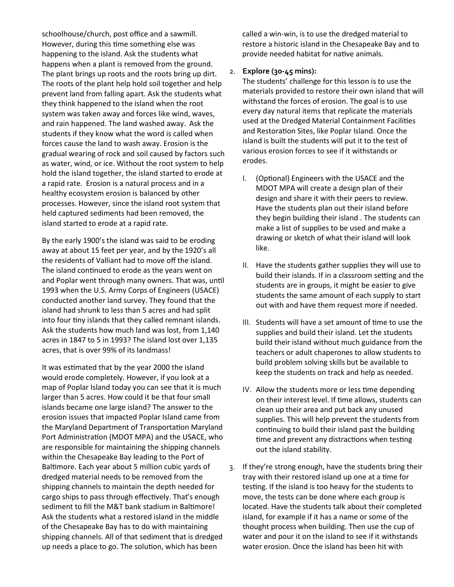schoolhouse/church, post office and a sawmill. However, during this time something else was happening to the island. Ask the students what happens when a plant is removed from the ground. The plant brings up roots and the roots bring up dirt. The roots of the plant help hold soil together and help prevent land from falling apart. Ask the students what they think happened to the island when the root system was taken away and forces like wind, waves, and rain happened. The land washed away. Ask the students if they know what the word is called when forces cause the land to wash away. Erosion is the gradual wearing of rock and soil caused by factors such as water, wind, or ice. Without the root system to help hold the island together, the island started to erode at a rapid rate. Erosion is a natural process and in a healthy ecosystem erosion is balanced by other processes. However, since the island root system that held captured sediments had been removed, the island started to erode at a rapid rate.

By the early 1900's the island was said to be eroding away at about 15 feet per year, and by the 1920's all the residents of Valliant had to move off the island. The island continued to erode as the years went on and Poplar went through many owners. That was, until 1993 when the U.S. Army Corps of Engineers (USACE) conducted another land survey. They found that the island had shrunk to less than 5 acres and had split into four tiny islands that they called remnant islands. Ask the students how much land was lost, from 1,140 acres in 1847 to 5 in 1993? The island lost over 1,135 acres, that is over 99% of its landmass!

It was estimated that by the year 2000 the island would erode completely. However, if you look at a map of Poplar Island today you can see that it is much larger than 5 acres. How could it be that four small islands became one large island? The answer to the erosion issues that impacted Poplar Island came from the Maryland Department of Transportation Maryland Port Administration (MDOT MPA) and the USACE, who are responsible for maintaining the shipping channels within the Chesapeake Bay leading to the Port of Baltimore. Each year about 5 million cubic yards of dredged material needs to be removed from the shipping channels to maintain the depth needed for cargo ships to pass through effectively. That's enough sediment to fill the M&T bank stadium in Baltimore! Ask the students what a restored island in the middle of the Chesapeake Bay has to do with maintaining shipping channels. All of that sediment that is dredged up needs a place to go. The solution, which has been

called a win-win, is to use the dredged material to restore a historic island in the Chesapeake Bay and to provide needed habitat for native animals.

#### 2. **Explore (30-45 mins):**

The students' challenge for this lesson is to use the materials provided to restore their own island that will withstand the forces of erosion. The goal is to use every day natural items that replicate the materials used at the Dredged Material Containment Facilities and Restoration Sites, like Poplar Island. Once the island is built the students will put it to the test of various erosion forces to see if it withstands or erodes.

- I. (Optional) Engineers with the USACE and the MDOT MPA will create a design plan of their design and share it with their peers to review. Have the students plan out their island before they begin building their island . The students can make a list of supplies to be used and make a drawing or sketch of what their island will look like.
- II. Have the students gather supplies they will use to build their islands. If in a classroom setting and the students are in groups, it might be easier to give students the same amount of each supply to start out with and have them request more if needed.
- III. Students will have a set amount of time to use the supplies and build their island. Let the students build their island without much guidance from the teachers or adult chaperones to allow students to build problem solving skills but be available to keep the students on track and help as needed.
- IV. Allow the students more or less time depending on their interest level. If time allows, students can clean up their area and put back any unused supplies. This will help prevent the students from continuing to build their island past the building time and prevent any distractions when testing out the island stability.
- 3. If they're strong enough, have the students bring their tray with their restored island up one at a time for testing. If the island is too heavy for the students to move, the tests can be done where each group is located. Have the students talk about their completed island, for example if it has a name or some of the thought process when building. Then use the cup of water and pour it on the island to see if it withstands water erosion. Once the island has been hit with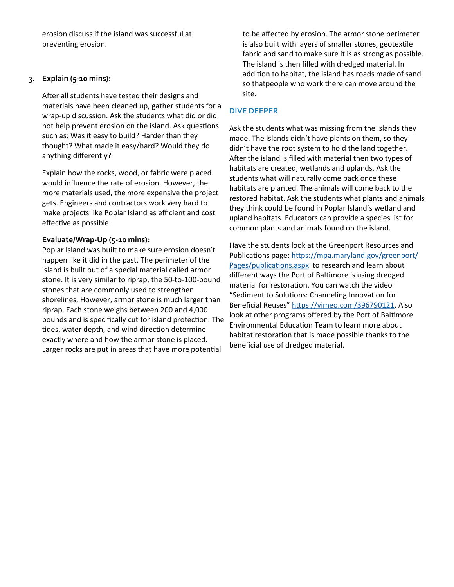erosion discuss if the island was successful at preventing erosion.

#### 3. **Explain (5-10 mins):**

After all students have tested their designs and materials have been cleaned up, gather students for a wrap-up discussion. Ask the students what did or did not help prevent erosion on the island. Ask questions such as: Was it easy to build? Harder than they thought? What made it easy/hard? Would they do anything differently?

Explain how the rocks, wood, or fabric were placed would influence the rate of erosion. However, the more materials used, the more expensive the project gets. Engineers and contractors work very hard to make projects like Poplar Island as efficient and cost effective as possible.

#### **Evaluate/Wrap-Up (5-10 mins):**

Poplar Island was built to make sure erosion doesn't happen like it did in the past. The perimeter of the island is built out of a special material called armor stone. It is very similar to riprap, the 50-to-100-pound stones that are commonly used to strengthen shorelines. However, armor stone is much larger than riprap. Each stone weighs between 200 and 4,000 pounds and is specifically cut for island protection. The tides, water depth, and wind direction determine exactly where and how the armor stone is placed. Larger rocks are put in areas that have more potential

to be affected by erosion. The armor stone perimeter is also built with layers of smaller stones, geotextile fabric and sand to make sure it is as strong as possible. The island is then filled with dredged material. In addition to habitat, the island has roads made of sand so thatpeople who work there can move around the site.

### **DIVE DEEPER**

Ask the students what was missing from the islands they made. The islands didn't have plants on them, so they didn't have the root system to hold the land together. After the island is filled with material then two types of habitats are created, wetlands and uplands. Ask the students what will naturally come back once these habitats are planted. The animals will come back to the restored habitat. Ask the students what plants and animals they think could be found in Poplar Island's wetland and upland habitats. Educators can provide a species list for common plants and animals found on the island.

Have the students look at the Greenport Resources and Publications page: [https://mpa.maryland.gov/greenport/](https://mpa.maryland.gov/greenport/Pages/publications.aspx) [Pages/publications.aspx](https://mpa.maryland.gov/greenport/Pages/publications.aspx) to research and learn about different ways the Port of Baltimore is using dredged material for restoration. You can watch the video "Sediment to Solutions: Channeling Innovation for Beneficial Reuses" [https://vimeo.com/396790121.](https://vimeo.com/396790121) Also look at other programs offered by the Port of Baltimore Environmental Education Team to learn more about habitat restoration that is made possible thanks to the beneficial use of dredged material.